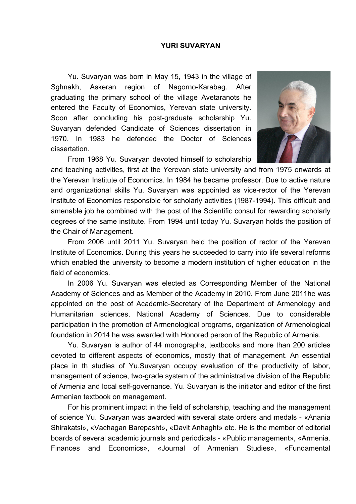## **YURI SUVARYAN**

Yu. Suvaryan was born in May 15, 1943 in the village of Sghnakh, Askeran region of Nagorno-Karabag. After graduating the primary school of the village Avetaranots he entered the Faculty of Economics, Yerevan state university. Soon after concluding his post-graduate scholarship Yu. Suvaryan defended Candidate of Sciences dissertation in 1970. In 1983 he defended the Doctor of Sciences dissertation.



From 1968 Yu. Suvaryan devoted himself to scholarship

and teaching activities, first at the Yerevan state university and from 1975 onwards at the Yerevan Institute of Economics. In 1984 he became professor. Due to active nature and organizational skills Yu. Suvaryan was appointed as vice-rector of the Yerevan Institute of Economics responsible for scholarly activities (1987-1994). This difficult and amenable job he combined with the post of the Scientific consul for rewarding scholarly degrees of the same institute. From 1994 until today Yu. Suvaryan holds the position of the Chair of Management.

From 2006 until 2011 Yu. Suvaryan held the position of rector of the Yerevan Institute of Economics. During this years he succeeded to carry into life several reforms which enabled the university to become a modern institution of higher education in the field of economics.

In 2006 Yu. Suvaryan was elected as Corresponding Member of the National Academy of Sciences and as Member of the Academy in 2010. From June 2011he was appointed on the post of Academic-Secretary of the Department of Armenology and Humanitarian sciences, National Academy of Sciences. Due to considerable participation in the promotion of Armenological programs, organization of Armenological foundation in 2014 he was awarded with Honored person of the Republic of Armenia.

Yu. Suvaryan is author of 44 monographs, textbooks and more than 200 articles devoted to different aspects of economics, mostly that of management. An essential place in th studies of Yu.Suvaryan occupy evaluation of the productivity of labor, management of science, two-grade system of the administrative division of the Republic of Armenia and local self-governance. Yu. Suvaryan is the initiator and editor of the first Armenian textbook on management.

For his prominent impact in the field of scholarship, teaching and the management of science Yu. Suvaryan was awarded with several state orders and medals - «Anania Shirakatsi», «Vachagan Barepasht», «Davit Anhaght» etc. He is the member of editorial boards of several academic journals and periodicals - «Public management», «Armenia. Finances and Economics», «Journal of Armenian Studies», «Fundamental